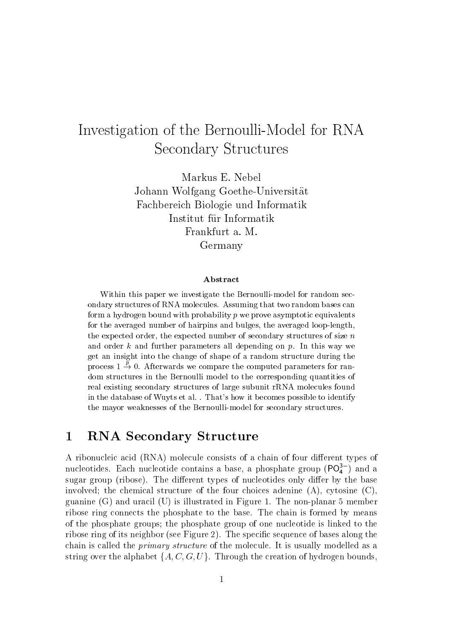# Investigation of the Bernoulli-Model for RNA **Secondary Structures**

Markus E. Nebel Johann Wolfgang Goethe-Universität Fachbereich Biologie und Informatik Institut für Informatik Frankfurt a. M. Germany

### **A** bstract

Within this paper we investigate the Bernoulli-model for random secondary structures of RNA molecules. Assuming that two random bases can form a hydrogen bound with probability  $p$  we prove asymptotic equivalents for the averaged number of hairpins and bulges, the averaged loop-length, the expected order, the expected number of secondary structures of size  $n$ and order k and further parameters all depending on  $p$ . In this way we get an insight into the change of shape of a random structure during the process  $1 \stackrel{p}{\rightarrow} 0$ . Afterwards we compare the computed parameters for random structures in the Bernoulli model to the corresponding quantities of real existing secondary structures of large subunit rRNA molecules found in the database of Wuyts et al. . That's how it becomes possible to identify the mayor weaknesses of the Bernoulli-model for secondary structures.

#### $\mathbf{1}$ **RNA Secondary Structure**

A ribonucleic acid (RNA) molecule consists of a chain of four different types of nucleotides. Each nucleotide contains a base, a phosphate group  $(PO_4^{3-})$  and a sugar group (ribose). The different types of nucleotides only differ by the base involved; the chemical structure of the four choices adenine  $(A)$ , cytosine  $(C)$ , guanine  $(G)$  and uracil  $(U)$  is illustrated in Figure 1. The non-planar 5 member ribose ring connects the phosphate to the base. The chain is formed by means of the phosphate groups; the phosphate group of one nucleotide is linked to the ribose ring of its neighbor (see Figure 2). The specific sequence of bases along the chain is called the *primary structure* of the molecule. It is usually modelled as a string over the alphabet  $\{A, C, G, U\}$ . Through the creation of hydrogen bounds,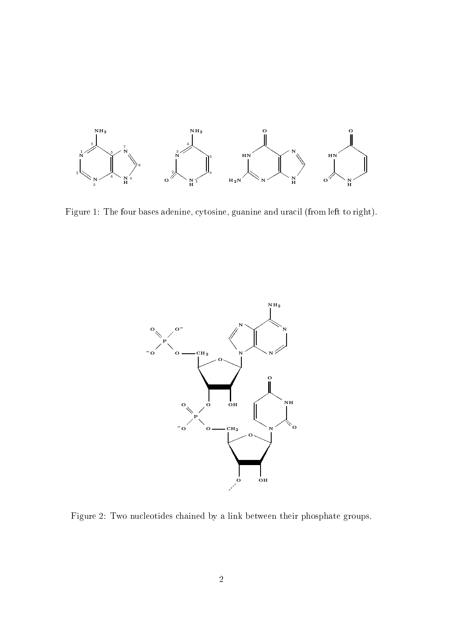

Figure 1: The four bases adenine, cytosine, guanine and uracil (from left to right).



Figure 2: Two nucleotides chained by a link between their phosphate groups.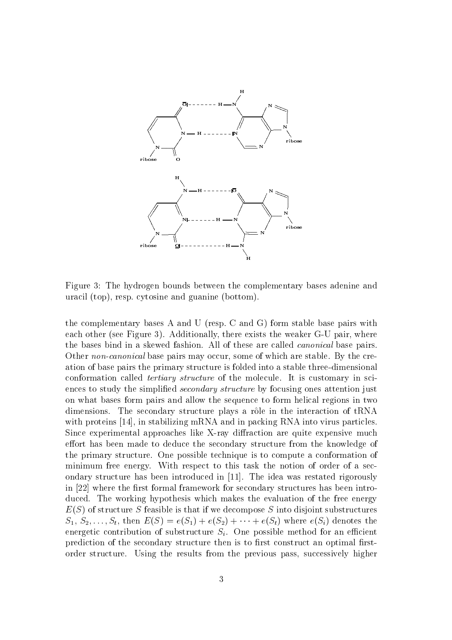

Figure 3: The hydrogen bounds between the complementary bases adenine and uracil (top), resp. cytosine and guanine (bottom).

the complementary bases A and U (resp. C and G) form stable base pairs with each other (see Figure 3). Additionally, there exists the weaker G-U pair, where the bases bind in a skewed fashion. All of these are called *canonical* base pairs. Other non-canonical base pairs may occur, some of which are stable. By the creation of base pairs the primary structure is folded into a stable three-dimensional conformation called *tertiary structure* of the molecule. It is customary in sciences to study the simplified *secondary structure* by focusing ones attention just on what bases form pairs and allow the sequence to form helical regions in two dimensions. The secondary structure plays a rôle in the interaction of tRNA with proteins [14], in stabilizing mRNA and in packing RNA into virus particles. Since experimental approaches like X-ray diffraction are quite expensive much effort has been made to deduce the secondary structure from the knowledge of the primary structure. One possible technique is to compute a conformation of minimum free energy. With respect to this task the notion of order of a secondary structure has been introduced in [11]. The idea was restated rigorously in [22] where the first formal framework for secondary structures has been introduced. The working hypothesis which makes the evaluation of the free energy  $E(S)$  of structure S feasible is that if we decompose S into disjoint substructures  $S_1, S_2, \ldots, S_t$ , then  $E(S) = e(S_1) + e(S_2) + \cdots + e(S_t)$  where  $e(S_i)$  denotes the energetic contribution of substructure  $S_i$ . One possible method for an efficient prediction of the secondary structure then is to first construct an optimal firstorder structure. Using the results from the previous pass, successively higher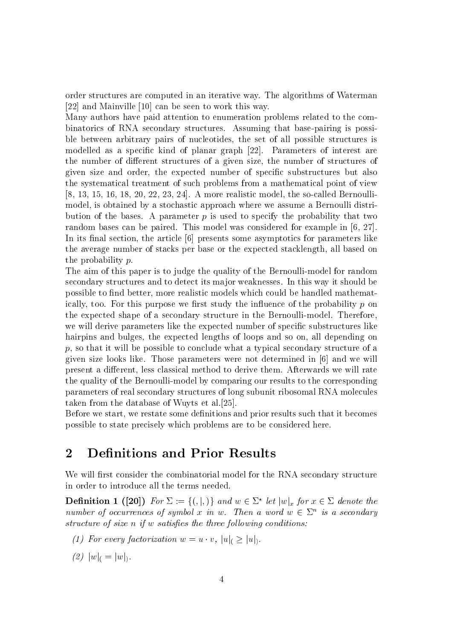order structures are computed in an iterative way. The algorithms of Waterman [22] and Mainville [10] can be seen to work this way.

Many authors have paid attention to enumeration problems related to the combinatorics of RNA secondary structures. Assuming that base-pairing is possible between arbitrary pairs of nucleotides, the set of all possible structures is modelled as a specific kind of planar graph [22]. Parameters of interest are the number of different structures of a given size, the number of structures of given size and order, the expected number of specific substructures but also the systematical treatment of such problems from a mathematical point of view  $[8, 13, 15, 16, 18, 20, 22, 23, 24]$ . A more realistic model, the so-called Bernoullimodel, is obtained by a stochastic approach where we assume a Bernoulli distribution of the bases. A parameter  $p$  is used to specify the probability that two random bases can be paired. This model was considered for example in  $[6, 27]$ . In its final section, the article [6] presents some asymptotics for parameters like the average number of stacks per base or the expected stacklength, all based on the probability  $p$ .

The aim of this paper is to judge the quality of the Bernoulli-model for random secondary structures and to detect its major weaknesses. In this way it should be possible to find better, more realistic models which could be handled mathematically, too. For this purpose we first study the influence of the probability  $p$  on the expected shape of a secondary structure in the Bernoulli-model. Therefore, we will derive parameters like the expected number of specific substructures like hairpins and bulges, the expected lengths of loops and so on, all depending on  $p$ , so that it will be possible to conclude what a typical secondary structure of a given size looks like. Those parameters were not determined in [6] and we will present a different, less classical method to derive them. Afterwards we will rate the quality of the Bernoulli-model by comparing our results to the corresponding parameters of real secondary structures of long subunit ribosomal RNA molecules taken from the database of Wuyts et al. [25].

Before we start, we restate some definitions and prior results such that it becomes possible to state precisely which problems are to be considered here.

#### $\overline{2}$ **Definitions and Prior Results**

We will first consider the combinatorial model for the RNA secondary structure in order to introduce all the terms needed.

**Definition 1 ([20])** For  $\Sigma := \{ ( , | , ) \}$  and  $w \in \Sigma^*$  let  $|w|_x$  for  $x \in \Sigma$  denote the number of occurrences of symbol x in w. Then a word  $w \in \Sigma^n$  is a secondary structure of size n if w satisfies the three following conditions:

- (1) For every factorization  $w = u \cdot v$ ,  $|u| \ge |u|$ .
- (2)  $|w|_{0} = |w|_{0}$ .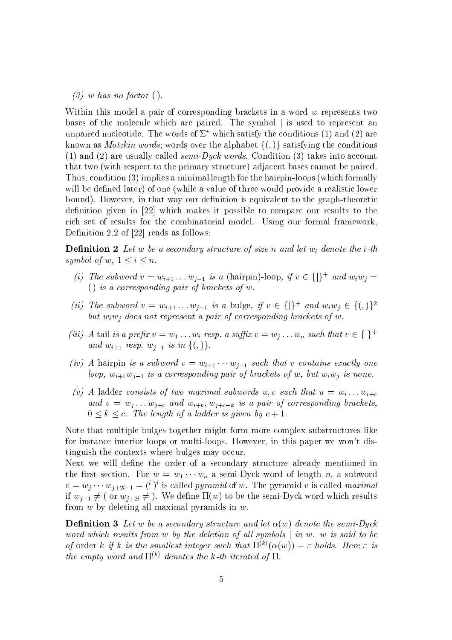$(3)$  w has no factor ().

Within this model a pair of corresponding brackets in a word  $w$  represents two bases of the molecule which are paired. The symbol is used to represent an unpaired nucleotide. The words of  $\Sigma^*$  which satisfy the conditions (1) and (2) are known as *Motzkin words*; words over the alphabet  $\{(\, ,\, )\}$  satisfying the conditions (1) and (2) are usually called *semi-Dyck words*. Condition (3) takes into account that two (with respect to the primary structure) adjacent bases cannot be paired. Thus, condition (3) implies a minimal length for the hairpin-loops (which formally will be defined later) of one (while a value of three would provide a realistic lower bound). However, in that way our definition is equivalent to the graph-theoretic definition given in  $[22]$  which makes it possible to compare our results to the rich set of results for the combinatorial model. Using our formal framework, Definition 2.2 of  $[22]$  reads as follows:

**Definition 2** Let w be a secondary structure of size n and let  $w_i$  denote the *i*-th symbol of w,  $1 \leq i \leq n$ .

- (i) The subword  $v = w_{i+1} \dots w_{i-1}$  is a (hairpin)-loop, if  $v \in \{\}^+$  and  $w_i w_j =$ () is a corresponding pair of brackets of  $w$ .
- (ii) The subword  $v = w_{i+1} \dots w_{i-1}$  is a bulge, if  $v \in \{|\}^+$  and  $w_i w_j \in \{(\,)\}^2$ but  $w_iw_j$  does not represent a pair of corresponding brackets of w.
- (iii) A tail is a prefix  $v = w_1 \dots w_i$  resp. a suffix  $v = w_i \dots w_n$  such that  $v \in \{\}^+$ and  $w_{i+1}$  resp.  $w_{i-1}$  is in  $\{(\, ,\, )\}.$
- (iv) A hairpin is a subword  $v = w_{i+1} \cdots w_{i-1}$  such that v contains exactly one loop,  $w_{i+1}w_{i-1}$  is a corresponding pair of brackets of w, but  $w_iw_j$  is none.
- (v) A ladder consists of two maximal subwords u, v such that  $u = w_i ... w_{i+c}$ and  $v = w_j \dots w_{j+c}$  and  $w_{i+k}, w_{j+c-k}$  is a pair of corresponding brackets,  $0 \leq k \leq c$ . The length of a ladder is given by  $c+1$ .

Note that multiple bulges together might form more complex substructures like for instance interior loops or multi-loops. However, in this paper we won't distinguish the contexts where bulges may occur.

Next we will define the order of a secondary structure already mentioned in the first section. For  $w = w_1 \cdots w_n$  a semi-Dyck word of length n, a subword  $v = w_i \cdots w_{i+2i-1} = {i}^i i$  is called *pyramid* of w. The pyramid v is called *maximal* if  $w_{i-1} \neq ($  or  $w_{i+2i} \neq$  ). We define  $\Pi(w)$  to be the semi-Dyck word which results from  $w$  by deleting all maximal pyramids in  $w$ .

**Definition 3** Let w be a secondary structure and let  $\alpha(w)$  denote the semi-Dyck word which results from w by the deletion of all symbols  $\vert$  in w. w is said to be of order k if k is the smallest integer such that  $\Pi^{(k)}(\alpha(w)) = \varepsilon$  holds. Here  $\varepsilon$  is the empty word and  $\Pi^{(k)}$  denotes the k-th iterated of  $\Pi$ .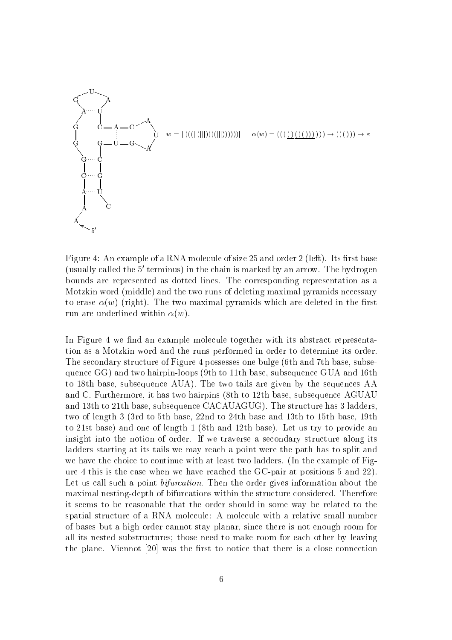

Figure 4: An example of a RNA molecule of size 25 and order 2 (left). Its first base (usually called the 5' terminus) in the chain is marked by an arrow. The hydrogen bounds are represented as dotted lines. The corresponding representation as a Motzkin word (middle) and the two runs of deleting maximal pyramids necessary to erase  $\alpha(w)$  (right). The two maximal pyramids which are deleted in the first run are underlined within  $\alpha(w)$ .

In Figure 4 we find an example molecule together with its abstract representation as a Motzkin word and the runs performed in order to determine its order. The secondary structure of Figure 4 possesses one bulge (6th and 7th base, subsequence GG) and two hairpin-loops (9th to 11th base, subsequence GUA and 16th to 18th base, subsequence AUA). The two tails are given by the sequences AA and C. Furthermore, it has two hairpins (8th to 12th base, subsequence AGUAU and 13th to 21th base, subsequence CACAUAGUG). The structure has 3 ladders, two of length 3 (3rd to 5th base, 22nd to 24th base and 13th to 15th base, 19th to 21st base) and one of length 1 (8th and 12th base). Let us try to provide an insight into the notion of order. If we traverse a secondary structure along its ladders starting at its tails we may reach a point were the path has to split and we have the choice to continue with at least two ladders. (In the example of Figure 4 this is the case when we have reached the GC-pair at positions 5 and 22). Let us call such a point *bifurcation*. Then the order gives information about the maximal nesting-depth of bifurcations within the structure considered. Therefore it seems to be reasonable that the order should in some way be related to the spatial structure of a RNA molecule: A molecule with a relative small number of bases but a high order cannot stay planar, since there is not enough room for all its nested substructures; those need to make room for each other by leaving the plane. Viennot [20] was the first to notice that there is a close connection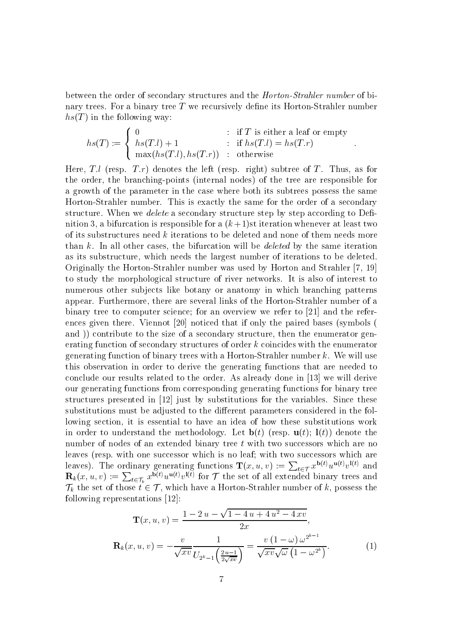between the order of secondary structures and the *Horton-Strahler number* of binary trees. For a binary tree  $T$  we recursively define its Horton-Strahler number  $hs(T)$  in the following way:

$$
hs(T) := \begin{cases} 0 & \text{: if } T \text{ is either a leaf or empty} \\ hs(T.l) + 1 & \text{: if } hs(T.l) = hs(T.r) \\ max(hs(T.l), hs(T.r)) & \text{: otherwise} \end{cases}
$$

Here, T.l (resp. T.r) denotes the left (resp. right) subtree of T. Thus, as for the order, the branching-points (internal nodes) of the tree are responsible for a growth of the parameter in the case where both its subtrees possess the same Horton-Strahler number. This is exactly the same for the order of a secondary structure. When we *delete* a secondary structure step by step according to Definition 3, a bifurcation is responsible for a  $(k+1)$ st iteration whenever at least two of its substructures need k iterations to be deleted and none of them needs more than  $k$ . In all other cases, the bifurcation will be *deleted* by the same iteration as its substructure, which needs the largest number of iterations to be deleted. Originally the Horton-Strahler number was used by Horton and Strahler [7, 19] to study the morphological structure of river networks. It is also of interest to numerous other subjects like botany or anatomy in which branching patterns appear. Furthermore, there are several links of the Horton-Strahler number of a binary tree to computer science; for an overview we refer to [21] and the references given there. Viennot [20] noticed that if only the paired bases (symbols ( and) contribute to the size of a secondary structure, then the enumerator generating function of secondary structures of order  $k$  coincides with the enumerator generating function of binary trees with a Horton-Strahler number  $k$ . We will use this observation in order to derive the generating functions that are needed to conclude our results related to the order. As already done in [13] we will derive our generating functions from corresponding generating functions for binary tree structures presented in [12] just by substitutions for the variables. Since these substitutions must be adjusted to the different parameters considered in the following section, it is essential to have an idea of how these substitutions work in order to understand the methodology. Let  $\mathbf{b}(t)$  (resp.  $\mathbf{u}(t)$ ;  $\mathbf{l}(t)$ ) denote the number of nodes of an extended binary tree t with two successors which are no leaves (resp. with one successor which is no leaf; with two successors which are leaves). The ordinary generating functions  $\mathbf{T}(x, u, v) := \sum_{t \in \mathcal{T}} x^{\mathbf{b}(t)} u^{\mathbf{u}(t)} v^{\mathbf{l}(t)}$  and  $\mathbf{R}_k(x, u, v) := \sum_{t \in \mathcal{T}_k} x^{\mathbf{b}(t)} u^{\mathbf{u}(t)} v^{\mathbf{l}(t)}$  for  $\mathcal{T}$  the set of all extended binary trees and  $\mathcal{T}_k$  the set of those  $t \in \mathcal{T}$ , which have a Horton-Strahler number of k, possess the following representations  $[12]$ :

$$
\mathbf{T}(x, u, v) = \frac{1 - 2u - \sqrt{1 - 4u + 4u^2 - 4xv}}{2x},
$$

$$
\mathbf{R}_k(x, u, v) = -\frac{v}{\sqrt{xv}} \frac{1}{U_{2^k - 1} \left(\frac{2u - 1}{2\sqrt{xv}}\right)} = \frac{v(1 - \omega)\omega^{2^{k-1}}}{\sqrt{xv}\sqrt{\omega}\left(1 - \omega^{2^k}\right)}.
$$
(1)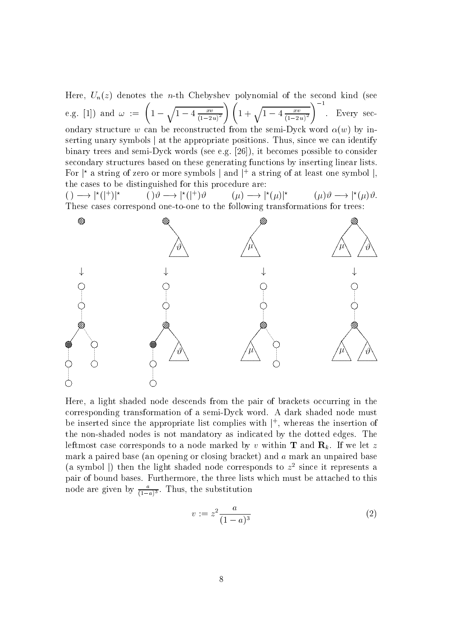Here,  $U_n(z)$  denotes the *n*-th Chebyshev polynomial of the second kind (see e.g. [1]) and  $\omega := \left(1 - \sqrt{1 - 4\frac{xv}{(1-2u)^2}}\right) \left(1 + \sqrt{1 - 4\frac{xv}{(1-2u)^2}}\right)^{-1}$ . Every secondary structure w can be reconstructed from the semi-Dyck word  $\alpha(w)$  by inserting unary symbols | at the appropriate positions. Thus, since we can identify binary trees and semi-Dyck words (see e.g. [26]), it becomes possible to consider secondary structures based on these generating functions by inserting linear lists. For  $\vert^*$  a string of zero or more symbols  $\vert$  and  $\vert^+$  a string of at least one symbol  $\vert$ , the cases to be distinguished for this procedure are:

 $() \longrightarrow |*(|^+)|^*$  $() \vartheta \longrightarrow |*(|^*)\vartheta$  $(\mu) \longrightarrow |^{\star}(\mu)|^{\star}$  $(\mu)\vartheta \longrightarrow |*(\mu)\vartheta.$ These cases correspond one-to-one to the following transformations for trees:



Here, a light shaded node descends from the pair of brackets occurring in the corresponding transformation of a semi-Dyck word. A dark shaded node must be inserted since the appropriate list complies with  $\vert^{+}$ , whereas the insertion of the non-shaded nodes is not mandatory as indicated by the dotted edges. The leftmost case corresponds to a node marked by v within **T** and  $\mathbf{R}_k$ . If we let z mark a paired base (an opening or closing bracket) and  $a$  mark an unpaired base (a symbol) then the light shaded node corresponds to  $z^2$  since it represents a pair of bound bases. Furthermore, the three lists which must be attached to this node are given by  $\frac{a}{(1-a)^3}$ . Thus, the substitution

$$
v := z^2 \frac{a}{(1-a)^3} \tag{2}
$$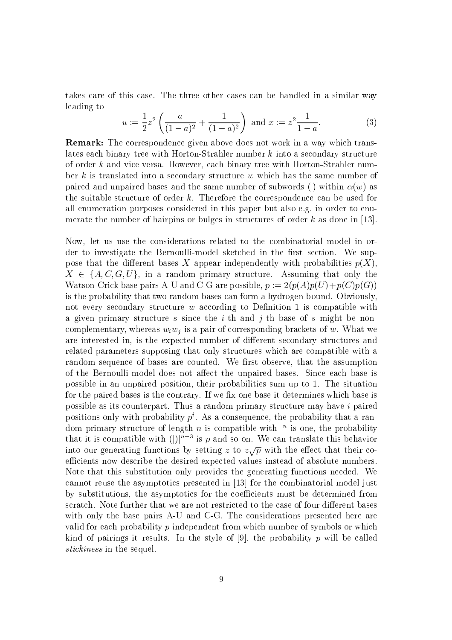takes care of this case. The three other cases can be handled in a similar way leading to

$$
u := \frac{1}{2}z^2 \left( \frac{a}{(1-a)^2} + \frac{1}{(1-a)^2} \right) \text{ and } x := z^2 \frac{1}{1-a}.
$$
 (3)

**Remark:** The correspondence given above does not work in a way which translates each binary tree with Horton-Strahler number  $k$  into a secondary structure of order k and vice versa. However, each binary tree with Horton-Strahler number k is translated into a secondary structure  $w$  which has the same number of paired and unpaired bases and the same number of subwords () within  $\alpha(w)$  as the suitable structure of order  $k$ . Therefore the correspondence can be used for all enumeration purposes considered in this paper but also e.g. in order to enumerate the number of hairpins or bulges in structures of order  $k$  as done in [13].

Now, let us use the considerations related to the combinatorial model in order to investigate the Bernoulli-model sketched in the first section. We suppose that the different bases X appear independently with probabilities  $p(X)$ ,  $X \in \{A, C, G, U\}$ , in a random primary structure. Assuming that only the Watson-Crick base pairs A-U and C-G are possible,  $p := 2(p(A)p(U) + p(C)p(G))$ is the probability that two random bases can form a hydrogen bound. Obviously, not every secondary structure  $w$  according to Definition 1 is compatible with a given primary structure s since the i-th and j-th base of s might be noncomplementary, whereas  $w_i w_j$  is a pair of corresponding brackets of w. What we are interested in, is the expected number of different secondary structures and related parameters supposing that only structures which are compatible with a random sequence of bases are counted. We first observe, that the assumption of the Bernoulli-model does not affect the unpaired bases. Since each base is possible in an unpaired position, their probabilities sum up to 1. The situation for the paired bases is the contrary. If we fix one base it determines which base is possible as its counterpart. Thus a random primary structure may have i paired positions only with probability  $p^i$ . As a consequence, the probability that a random primary structure of length n is compatible with  $\vert^n$  is one, the probability that it is compatible with  $(|x|^{n-3}$  is p and so on. We can translate this behavior into our generating functions by setting z to  $z\sqrt{p}$  with the effect that their coefficients now describe the desired expected values instead of absolute numbers. Note that this substitution only provides the generating functions needed. We cannot reuse the asymptotics presented in [13] for the combinatorial model just by substitutions, the asymptotics for the coefficients must be determined from scratch. Note further that we are not restricted to the case of four different bases with only the base pairs A-U and C-G. The considerations presented here are valid for each probability  $p$  independent from which number of symbols or which kind of pairings it results. In the style of [9], the probability p will be called *stickiness* in the sequel.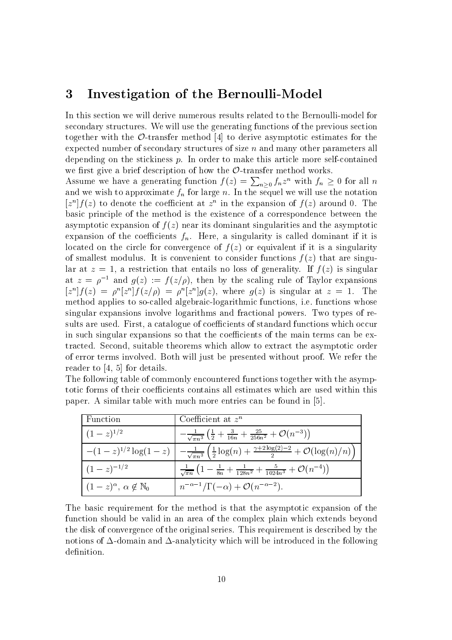#### Investigation of the Bernoulli-Model  $\boldsymbol{3}$

In this section we will derive numerous results related to the Bernoulli-model for secondary structures. We will use the generating functions of the previous section together with the  $\mathcal{O}$ -transfer method [4] to derive asymptotic estimates for the expected number of secondary structures of size  $n$  and many other parameters all depending on the stickiness  $p$ . In order to make this article more self-contained we first give a brief description of how the  $\mathcal{O}\text{-}$  transfer method works.

Assume we have a generating function  $f(z) = \sum_{n\geq 0} f_n z^n$  with  $f_n \geq 0$  for all n and we wish to approximate  $f_n$  for large n. In the sequel we will use the notation  $[z<sup>n</sup>]f(z)$  to denote the coefficient at  $z<sup>n</sup>$  in the expansion of  $f(z)$  around 0. The basic principle of the method is the existence of a correspondence between the asymptotic expansion of  $f(z)$  near its dominant singularities and the asymptotic expansion of the coefficients  $f_n$ . Here, a singularity is called dominant if it is located on the circle for convergence of  $f(z)$  or equivalent if it is a singularity of smallest modulus. It is convenient to consider functions  $f(z)$  that are singular at  $z = 1$ , a restriction that entails no loss of generality. If  $f(z)$  is singular at  $z = \rho^{-1}$  and  $g(z) := f(z/\rho)$ , then by the scaling rule of Taylor expansions  $[z<sup>n</sup>]f(z) = \rho<sup>n</sup>[z<sup>n</sup>]f(z/\rho) = \rho<sup>n</sup>[z<sup>n</sup>]g(z)$ , where  $g(z)$  is singular at  $z = 1$ . The method applies to so-called algebraic-logarithmic functions, i.e. functions whose singular expansions involve logarithms and fractional powers. Two types of results are used. First, a catalogue of coefficients of standard functions which occur in such singular expansions so that the coefficients of the main terms can be extracted. Second, suitable theorems which allow to extract the asymptotic order of error terms involved. Both will just be presented without proof. We refer the reader to  $[4, 5]$  for details.

| The following table of commonly encountered functions together with the asymp-      |
|-------------------------------------------------------------------------------------|
| totic forms of their coefficients contains all estimates which are used within this |
| paper. A similar table with much more entries can be found in [5].                  |

| l Function                                   | Coefficient at $z^n$                                                                                                                                             |
|----------------------------------------------|------------------------------------------------------------------------------------------------------------------------------------------------------------------|
| $(1-z)^{1/2}$                                | $-\frac{1}{\sqrt{\pi n^3}}\left(\frac{1}{2}+\frac{3}{16n}+\frac{25}{256n^2}+\mathcal{O}(n^{-3})\right)$                                                          |
|                                              | $-(1-z)^{1/2} \log(1-z)$ $\left[ -\frac{1}{\sqrt{\pi n^3}} \left( \frac{1}{2} \log(n) + \frac{\gamma + 2 \log(2)-2}{2} + \mathcal{O}(\log(n)/n) \right) \right]$ |
| $(1-z)^{-1/2}$                               | $\frac{1}{\sqrt{\pi n}}\left(1-\frac{1}{8n}+\frac{1}{128n^2}+\frac{5}{1024n^3}+\mathcal{O}(n^{-4})\right)$                                                       |
| $(1-z)^{\alpha}, \alpha \notin \mathbb{N}_0$ | $n^{-\alpha-1}/\Gamma(-\alpha) + \mathcal{O}(n^{-\alpha-2}).$                                                                                                    |

The basic requirement for the method is that the asymptotic expansion of the function should be valid in an area of the complex plain which extends beyond the disk of convergence of the original series. This requirement is described by the notions of  $\Delta$ -domain and  $\Delta$ -analyticity which will be introduced in the following definition.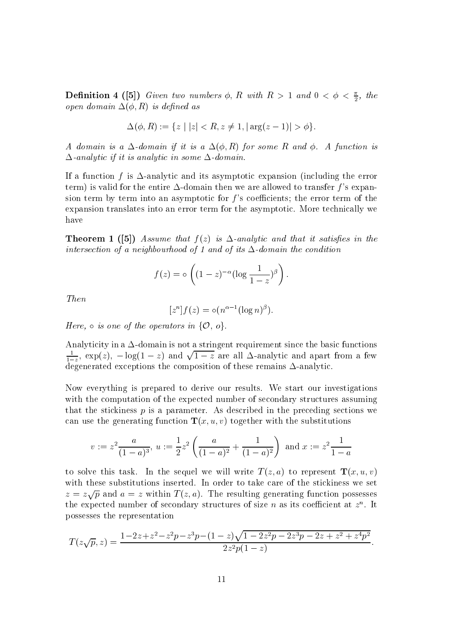**Definition 4** ([5]) Given two numbers  $\phi$ , R with  $R > 1$  and  $0 < \phi < \frac{\pi}{2}$ , the open domain  $\Delta(\phi, R)$  is defined as

$$
\Delta(\phi, R) := \{ z \mid |z| < R, z \neq 1, |\arg(z - 1)| > \phi \}.
$$

A domain is a  $\Delta$ -domain if it is a  $\Delta(\phi, R)$  for some R and  $\phi$ . A function is  $\Delta$ -analytic if it is analytic in some  $\Delta$ -domain.

If a function f is  $\Delta$ -analytic and its asymptotic expansion (including the error term) is valid for the entire  $\Delta$ -domain then we are allowed to transfer f's expansion term by term into an asymptotic for  $f$ 's coefficients; the error term of the expansion translates into an error term for the asymptotic. More technically we have

**Theorem 1** (5) Assume that  $f(z)$  is  $\Delta$ -analytic and that it satisfies in the intersection of a neighbourhood of 1 and of its  $\Delta$ -domain the condition

$$
f(z) = \circ \left( (1-z)^{-\alpha} (\log \frac{1}{1-z})^{\beta} \right).
$$

Then

$$
[zn]f(z) = o(n\alpha-1(\log n)\beta).
$$

Here,  $\circ$  is one of the operators in  $\{\mathcal{O}, o\}$ .

Analyticity in a  $\Delta$ -domain is not a stringent requirement since the basic functions  $\frac{1}{1-z}$ , exp(z),  $-\log(1-z)$  and  $\sqrt{1-z}$  are all  $\Delta$ -analytic and apart from a few degenerated exceptions the composition of these remains  $\Delta$ -analytic.

Now everything is prepared to derive our results. We start our investigations with the computation of the expected number of secondary structures assuming that the stickiness  $p$  is a parameter. As described in the preceding sections we can use the generating function  $\mathbf{T}(x, u, v)$  together with the substitutions

$$
v := z^2 \frac{a}{(1-a)^3}
$$
,  $u := \frac{1}{2} z^2 \left( \frac{a}{(1-a)^2} + \frac{1}{(1-a)^2} \right)$  and  $x := z^2 \frac{1}{1-a}$ 

to solve this task. In the sequel we will write  $T(z, a)$  to represent  $T(x, u, v)$ with these substitutions inserted. In order to take care of the stickiness we set  $z = z\sqrt{p}$  and  $a = z$  within  $T(z, a)$ . The resulting generating function possesses the expected number of secondary structures of size n as its coefficient at  $z<sup>n</sup>$ . It possesses the representation

$$
T(z\sqrt{p},z) = \frac{1-2z+z^2-z^2p-z^3p-(1-z)\sqrt{1-2z^2p-2z^3p-2z+z^2+z^4p^2}}{2z^2p(1-z)}.
$$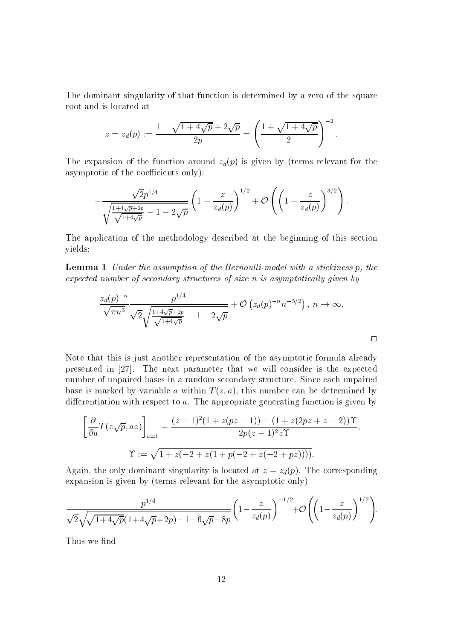The dominant singularity of that function is determined by a zero of the square root and is located at

$$
z = z_d(p) := \frac{1 - \sqrt{1 + 4\sqrt{p}} + 2\sqrt{p}}{2p} = \left(\frac{1 + \sqrt{1 + 4\sqrt{p}}}{2}\right)^{-2}
$$

The expansion of the function around  $z_d(p)$  is given by (terms relevant for the asymptotic of the coefficients only):

$$
-\frac{\sqrt{2}p^{1/4}}{\sqrt{\frac{1+4\sqrt{p}+2p}{\sqrt{1+4\sqrt{p}}}-1-2\sqrt{p}}}\left(1-\frac{z}{z_d(p)}\right)^{1/2}+\mathcal{O}\left(\left(1-\frac{z}{z_d(p)}\right)^{3/2}\right).
$$

The application of the methodology described at the beginning of this section yields:

**Lemma 1** Under the assumption of the Bernoulli-model with a stickiness p, the expected number of secondary structures of size n is asymptotically given by

$$
\frac{z_d(p)^{-n}}{\sqrt{\pi n^3}} \frac{p^{1/4}}{\sqrt{2\sqrt{\frac{1+4\sqrt{p}+2p}{\sqrt{1+4\sqrt{p}}}}-1-2\sqrt{p}}} + \mathcal{O}\left(z_d(p)^{-n}n^{-5/2}\right), n \to \infty.
$$

Note that this is just another representation of the asymptotic formula already presented in [27]. The next parameter that we will consider is the expected number of unpaired bases in a random secondary structure. Since each unpaired base is marked by variable a within  $T(z, a)$ , this number can be determined by differentiation with respect to  $a$ . The appropriate generating function is given by

$$
\left[\frac{\partial}{\partial a}T(z\sqrt{p},az)\right]_{a=1} = \frac{(z-1)^2(1+z(pz-1)) - (1+z(2pz+z-2))\Upsilon}{2p(z-1)^2z\Upsilon},
$$

$$
\Upsilon := \sqrt{1+z(-2+z(1+p(-2+z(-2+pz))))}.
$$

Again, the only dominant singularity is located at  $z = z_d(p)$ . The corresponding expansion is given by (terms relevant for the asymptotic only)

$$
\frac{p^{1/4}}{\sqrt{2}\sqrt{\sqrt{1+4\sqrt{p}}(1+4\sqrt{p}+2p)-1-6\sqrt{p}-8p}} \left(1-\frac{z}{z_d(p)}\right)^{-1/2} + \mathcal{O}\left(\left(1-\frac{z}{z_d(p)}\right)^{1/2}\right)
$$

Thus we find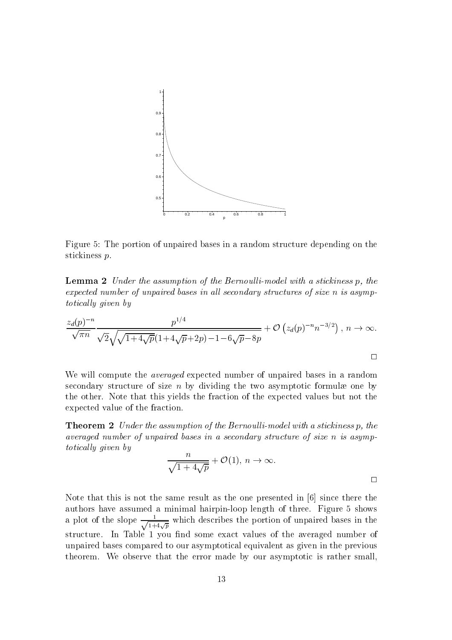

Figure 5: The portion of unpaired bases in a random structure depending on the stickiness p.

**Lemma 2** Under the assumption of the Bernoulli-model with a stickiness p, the expected number of unpaired bases in all secondary structures of size n is asymp*totically given by* 

$$
\frac{z_d(p)^{-n}}{\sqrt{\pi n}} \frac{p^{1/4}}{\sqrt{2\sqrt{1+4\sqrt{p}}(1+4\sqrt{p}+2p)-1-6\sqrt{p}-8p}} + \mathcal{O}\left(z_d(p)^{-n}n^{-3/2}\right), n \to \infty.
$$

We will compute the *averaged* expected number of unpaired bases in a random secondary structure of size  $n$  by dividing the two asymptotic formulae one by the other. Note that this yields the fraction of the expected values but not the expected value of the fraction.

**Theorem 2** Under the assumption of the Bernoulli-model with a stickiness p, the averaged number of unpaired bases in a secondary structure of size n is asymptotically given by

$$
\frac{n}{\sqrt{1+4\sqrt{p}}} + \mathcal{O}(1), n \to \infty.
$$

Note that this is not the same result as the one presented in [6] since there the authors have assumed a minimal hairpin-loop length of three. Figure 5 shows a plot of the slope  $\frac{1}{\sqrt{1+4\sqrt{p}}}$  which describes the portion of unpaired bases in the structure. In Table 1 you find some exact values of the averaged number of unpaired bases compared to our asymptotical equivalent as given in the previous theorem. We observe that the error made by our asymptotic is rather small,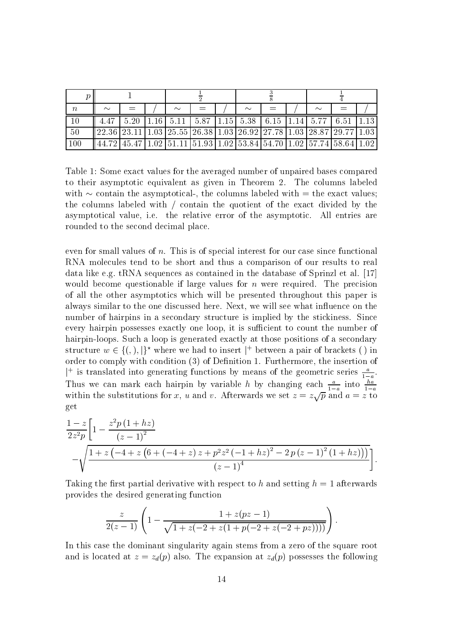| $\, n$ | $\sim$                                                                                                |  | $\sim$ |  |  | $\sim$ |  |  | $\sim$                                                                            |                                                                     |  |
|--------|-------------------------------------------------------------------------------------------------------|--|--------|--|--|--------|--|--|-----------------------------------------------------------------------------------|---------------------------------------------------------------------|--|
|        |                                                                                                       |  |        |  |  |        |  |  | $5.20$   1.16   $5.11$   $5.87$   1.15   $5.38$   $6.15$   1.14   $5.77$   $6.51$ |                                                                     |  |
| 50     | $\parallel$ 22.36   23.11   1.03   25.55   26.38   1.03   26.92   27.78   1.03   28.87   29.77   1.03 |  |        |  |  |        |  |  |                                                                                   |                                                                     |  |
| 100    |                                                                                                       |  |        |  |  |        |  |  |                                                                                   | 44.72 45.47 1.02 51.11 51.93 1.02 53.84 54.70 1.02 57.74 58.64 1.02 |  |

Table 1: Some exact values for the averaged number of unpaired bases compared to their asymptotic equivalent as given in Theorem 2. The columns labeled with  $\sim$  contain the asymptotical-, the columns labeled with  $=$  the exact values; the columns labeled with / contain the quotient of the exact divided by the asymptotical value, i.e. the relative error of the asymptotic. All entries are rounded to the second decimal place.

even for small values of  $n$ . This is of special interest for our case since functional RNA molecules tend to be short and thus a comparison of our results to real data like e.g. tRNA sequences as contained in the database of Sprinzl et al. [17] would become questionable if large values for  $n$  were required. The precision of all the other asymptotics which will be presented throughout this paper is always similar to the one discussed here. Next, we will see what influence on the number of hairpins in a secondary structure is implied by the stickiness. Since every hairpin possesses exactly one loop, it is sufficient to count the number of hairpin-loops. Such a loop is generated exactly at those positions of a secondary structure  $w \in \{(), |\}^*$  where we had to insert |<sup>+</sup> between a pair of brackets () in order to comply with condition (3) of Definition 1. Furthermore, the insertion of <sup>1</sup> is translated into generating functions by means of the geometric series  $\frac{a}{1-a}$ .<br>Thus we can mark each hairpin by variable *h* by changing each  $\frac{a}{1-a}$  into  $\frac{ha}{1-a}$  within the substitutions for *x*, *u* and get

$$
\frac{1-z}{2z^{2}p}\left[1-\frac{z^{2}p(1+hz)}{(z-1)^{2}}-\sqrt{\frac{1+z(-4+z(6+(-4+z)z+p^{2}z^{2}(-1+hz)^{2}-2p(z-1)^{2}(1+hz)))}{(z-1)^{4}}}\right]
$$

Taking the first partial derivative with respect to h and setting  $h = 1$  afterwards provides the desired generating function

$$
\frac{z}{2(z-1)}\left(1-\frac{1+z(pz-1)}{\sqrt{1+z(-2+z(1+p(-2+z(-2+pz))))}}\right)
$$

In this case the dominant singularity again stems from a zero of the square root and is located at  $z = z_d(p)$  also. The expansion at  $z_d(p)$  possesses the following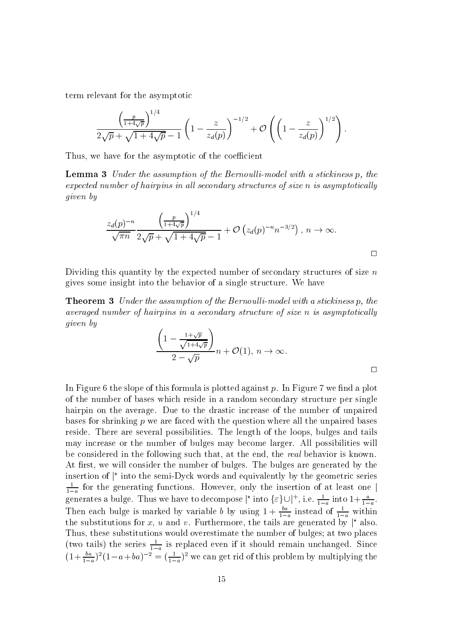term relevant for the asymptotic

$$
\frac{\left(\frac{p}{1+4\sqrt{p}}\right)^{1/4}}{2\sqrt{p}+\sqrt{1+4\sqrt{p}}-1}\left(1-\frac{z}{z_d(p)}\right)^{-1/2}+\mathcal{O}\left(\left(1-\frac{z}{z_d(p)}\right)^{1/2}\right).
$$

Thus, we have for the asymptotic of the coefficient

**Lemma 3** Under the assumption of the Bernoulli-model with a stickiness p, the expected number of hairpins in all secondary structures of size n is asymptotically *given* by

$$
\frac{z_d(p)^{-n}}{\sqrt{\pi n}} \frac{\left(\frac{p}{1+4\sqrt{p}}\right)^{1/4}}{2\sqrt{p} + \sqrt{1+4\sqrt{p}} - 1} + \mathcal{O}\left(z_d(p)^{-n} n^{-3/2}\right), n \to \infty.
$$

Dividing this quantity by the expected number of secondary structures of size  $n$ gives some insight into the behavior of a single structure. We have

**Theorem 3** Under the assumption of the Bernoulli-model with a stickiness p, the averaged number of hairpins in a secondary structure of size n is asymptotically given by

$$
\frac{\left(1 - \frac{1 + \sqrt{p}}{\sqrt{1 + 4\sqrt{p}}}\right)}{2 - \sqrt{p}} n + \mathcal{O}(1), n \to \infty.
$$

In Figure 6 the slope of this formula is plotted against p. In Figure 7 we find a plot of the number of bases which reside in a random secondary structure per single hairpin on the average. Due to the drastic increase of the number of unpaired bases for shrinking  $p$  we are faced with the question where all the unpaired bases reside. There are several possibilities. The length of the loops, bulges and tails may increase or the number of bulges may become larger. All possibilities will be considered in the following such that, at the end, the real behavior is known. At first, we will consider the number of bulges. The bulges are generated by the insertion of  $\vert$ <sup>\*</sup> into the semi-Dyck words and equivalently by the geometric series  $\frac{1}{1-a}$  for the generating functions. However, only the insertion of at least one generates a bulge. Thus we have to decompose  $|\star \text{ into } \{\varepsilon\} \cup |^+, \text{ i.e. } \frac{1}{1-a} \text{ into } 1 + \frac{a}{1-a}.$ <br>Then each bulge is marked by variable *b* by using  $1 + \frac{ba}{1-a}$  instead of  $\frac{1}{1-a}$  within the substitutions for x, u and v. Furthermore, the tails are generated by  $\vert^*$  also. Thus, these substitutions would overestimate the number of bulges; at two places (two tails) the series  $\frac{1}{1-a}$  is replaced even if it should remain unchanged. Since  $(1+\frac{ba}{1-a})^2(1-a+ba)^{-2} = (\frac{1}{1-a})^2$  we can get rid of this problem by multiplying the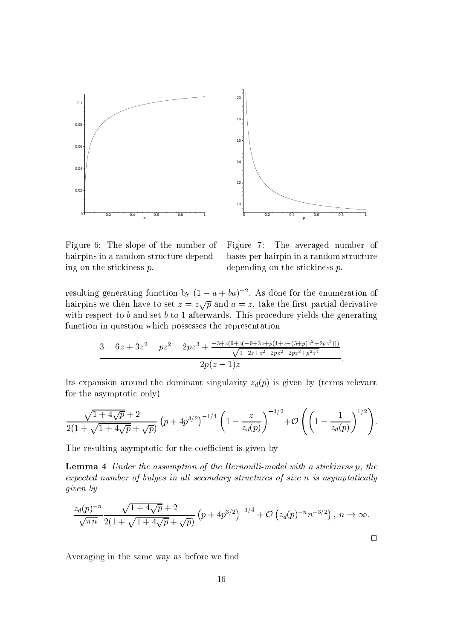

Figure 6: The slope of the number of hairpins in a random structure depending on the stickiness  $p$ .

Figure 7: The averaged number of bases per hairpin in a random structure depending on the stickiness  $p$ .

resulting generating function by  $(1 - a + ba)^{-2}$ . As done for the enumeration of hairpins we then have to set  $z = z\sqrt{p}$  and  $a = z$ , take the first partial derivative with respect to  $b$  and set  $b$  to 1 afterwards. This procedure yields the generating function in question which possesses the representation

$$
\frac{3-6z+3z^2-pz^2-2pz^3+\frac{-3+z(9+z(-9+3z+p(4+z-(5+p)z^2+2pz^3)))}{\sqrt{1-2z+z^2-2pz^2-2pz^3+p^2z^4}}}{2p(z-1)z}.
$$

Its expansion around the dominant singularity  $z_d(p)$  is given by (terms relevant for the asymptotic only)

$$
\frac{\sqrt{1+4\sqrt{p}}+2}{2(1+\sqrt{1+4\sqrt{p}}+\sqrt{p})}\left(p+4p^{3/2}\right)^{-1/4}\left(1-\frac{z}{z_d(p)}\right)^{-1/2}+\mathcal{O}\left(\left(1-\frac{1}{z_d(p)}\right)^{1/2}\right)
$$

The resulting asymptotic for the coefficient is given by

**Lemma 4** Under the assumption of the Bernoulli-model with a stickiness p, the expected number of bulges in all secondary structures of size n is asymptotically *given* by

$$
\frac{z_d(p)^{-n}}{\sqrt{\pi n}} \frac{\sqrt{1+4\sqrt{p}}+2}{2(1+\sqrt{1+4\sqrt{p}}+\sqrt{p})} (p+4p^{3/2})^{-1/4} + \mathcal{O}\left(z_d(p)^{-n}n^{-3/2}\right), n \to \infty.
$$

Averaging in the same way as before we find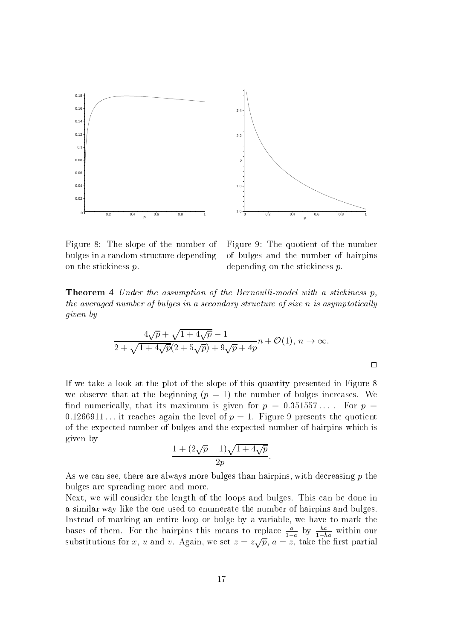

Figure 8: The slope of the number of bulges in a random structure depending on the stickiness  $p$ .

Figure 9: The quotient of the number of bulges and the number of hairpins depending on the stickiness  $p$ .

**Theorem 4** Under the assumption of the Bernoulli-model with a stickiness p, the averaged number of bulges in a secondary structure of size n is asymptotically *given* by

$$
\frac{4\sqrt{p} + \sqrt{1 + 4\sqrt{p}} - 1}{2 + \sqrt{1 + 4\sqrt{p}}(2 + 5\sqrt{p}) + 9\sqrt{p} + 4p}n + \mathcal{O}(1), n \to \infty.
$$

If we take a look at the plot of the slope of this quantity presented in Figure 8 we observe that at the beginning  $(p = 1)$  the number of bulges increases. We find numerically, that its maximum is given for  $p = 0.351557...$  For  $p =$ 0.1266911... it reaches again the level of  $p = 1$ . Figure 9 presents the quotient of the expected number of bulges and the expected number of hairpins which is given by

$$
\frac{1+(2\sqrt{p}-1)\sqrt{1+4\sqrt{p}}}{2p}
$$

As we can see, there are always more bulges than hairpins, with decreasing p the bulges are spreading more and more.

Next, we will consider the length of the loops and bulges. This can be done in a similar way like the one used to enumerate the number of hairpins and bulges. Instead of marking an entire loop or bulge by a variable, we have to mark the bases of them. For the hairpins this means to replace  $\frac{a}{1-a}$  by  $\frac{ha}{1-ha}$  within our substitutions for x, u and v. Again, we set  $z = z\sqrt{p}$ ,  $a = z$ , take the first partial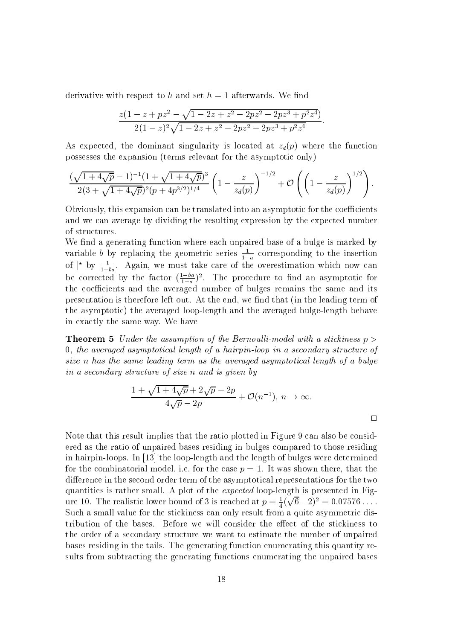derivative with respect to h and set  $h = 1$  afterwards. We find

$$
\frac{z(1-z+pz^2-\sqrt{1-2z+z^2-2pz^2-2pz^3+p^2z^4})}{2(1-z)^2\sqrt{1-2z+z^2-2pz^2-2pz^3+p^2z^4}}
$$

As expected, the dominant singularity is located at  $z_d(p)$  where the function possesses the expansion (terms relevant for the asymptotic only)

$$
\frac{(\sqrt{1+4\sqrt{p}}-1)^{-1}(1+\sqrt{1+4\sqrt{p}})^3}{2(3+\sqrt{1+4\sqrt{p}})^2(p+4p^{3/2})^{1/4}}\left(1-\frac{z}{z_d(p)}\right)^{-1/2}+\mathcal{O}\left(\left(1-\frac{z}{z_d(p)}\right)^{1/2}\right).
$$

Obviously, this expansion can be translated into an asymptotic for the coefficients and we can average by dividing the resulting expression by the expected number of structures.

We find a generating function where each unpaired base of a bulge is marked by variable b by replacing the geometric series  $\frac{1}{1-a}$  corresponding to the insertion of  $\vert^{\star}$  by  $\frac{1}{1-ba}$ . Again, we must take care of the overestimation which now can be corrected by the factor  $(\frac{1-ba}{1-a})^2$ . The procedure to find an asymptotic for the coefficients and the averaged number of bulges remains the same and its presentation is therefore left out. At the end, we find that (in the leading term of the asymptotic) the averaged loop-length and the averaged bulge-length behave in exactly the same way. We have

**Theorem 5** Under the assumption of the Bernoulli-model with a stickiness  $p >$  $0,$  the averaged asymptotical length of a hairpin-loop in a secondary structure of size n has the same leading term as the averaged asymptotical length of a bulge in a secondary structure of size n and is given by

$$
\frac{1+\sqrt{1+4\sqrt{p}}+2\sqrt{p}-2p}{4\sqrt{p}-2p}+\mathcal{O}(n^{-1}), n \to \infty.
$$

Note that this result implies that the ratio plotted in Figure 9 can also be considered as the ratio of unpaired bases residing in bulges compared to those residing in hairpin-loops. In  $[13]$  the loop-length and the length of bulges were determined for the combinatorial model, i.e. for the case  $p = 1$ . It was shown there, that the difference in the second order term of the asymptotical representations for the two quantities is rather small. A plot of the *expected* loop-length is presented in Figure 10. The realistic lower bound of 3 is reached at  $p = \frac{1}{4}(\sqrt{6}-2)^2 = 0.07576...$ Such a small value for the stickiness can only result from a quite asymmetric distribution of the bases. Before we will consider the effect of the stickiness to the order of a secondary structure we want to estimate the number of unpaired bases residing in the tails. The generating function enumerating this quantity results from subtracting the generating functions enumerating the unpaired bases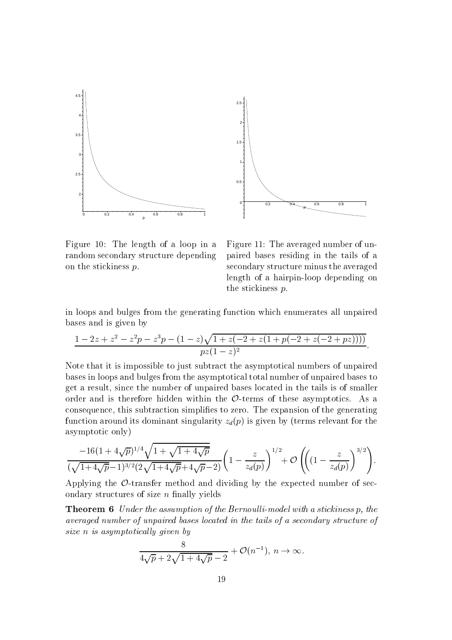



Figure 10: The length of a loop in a random secondary structure depending on the stickiness  $p$ .



in loops and bulges from the generating function which enumerates all unpaired bases and is given by

$$
\frac{1-2z+z^2-z^2p-z^3p-(1-z)\sqrt{1+z(-2+z(1+p(-2+z(-2+pz))))}}{pz(1-z)^2}
$$

Note that it is impossible to just subtract the asymptotical numbers of unpaired bases in loops and bulges from the asymptotical total number of unpaired bases to get a result, since the number of unpaired bases located in the tails is of smaller order and is therefore hidden within the  $\mathcal{O}$ -terms of these asymptotics. As a consequence, this subtraction simplifies to zero. The expansion of the generating function around its dominant singularity  $z_d(p)$  is given by (terms relevant for the asymptotic only)

$$
\frac{-16(1+4\sqrt{p})^{1/4}\sqrt{1+\sqrt{1+4\sqrt{p}}}}{(\sqrt{1+4\sqrt{p}}-1)^{3/2}(2\sqrt{1+4\sqrt{p}}+4\sqrt{p}-2)}\left(1-\frac{z}{z_d(p)}\right)^{1/2}+\mathcal{O}\left(\left((1-\frac{z}{z_d(p)}\right)^{3/2}\right).
$$

Applying the  $\mathcal{O}$ -transfer method and dividing by the expected number of secondary structures of size  $n$  finally yields

**Theorem 6** Under the assumption of the Bernoulli-model with a stickiness p, the averaged number of unpaired bases located in the tails of a secondary structure of size n is asymptotically given by

$$
\frac{8}{4\sqrt{p}+2\sqrt{1+4\sqrt{p}}-2} + \mathcal{O}(n^{-1}), n \to \infty.
$$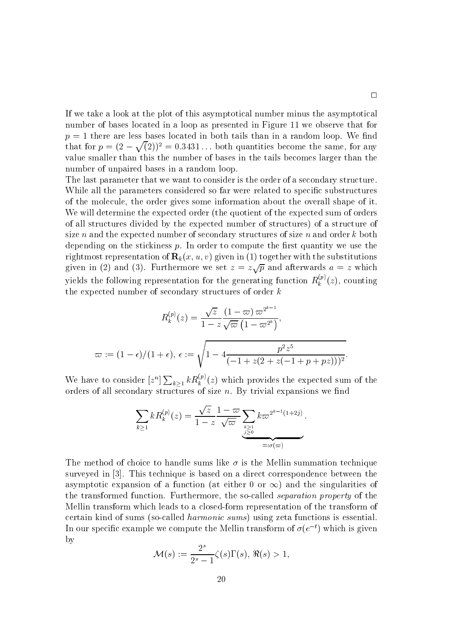If we take a look at the plot of this asymptotical number minus the asymptotical number of bases located in a loop as presented in Figure 11 we observe that for  $p = 1$  there are less bases located in both tails than in a random loop. We find that for  $p = (2 - \sqrt{2})^2 = 0.3431...$  both quantities become the same, for any value smaller than this the number of bases in the tails becomes larger than the number of unpaired bases in a random loop.

The last parameter that we want to consider is the order of a secondary structure. While all the parameters considered so far were related to specific substructures of the molecule, the order gives some information about the overall shape of it. We will determine the expected order (the quotient of the expected sum of orders of all structures divided by the expected number of structures) of a structure of size n and the expected number of secondary structures of size n and order  $k$  both depending on the stickiness  $p$ . In order to compute the first quantity we use the rightmost representation of  $\mathbf{R}_k(x, u, v)$  given in (1) together with the substitutions given in (2) and (3). Furthermore we set  $z = z\sqrt{p}$  and afterwards  $a = z$  which yields the following representation for the generating function  $R_k^{(p)}(z)$ , counting the expected number of secondary structures of order  $k$ 

$$
R_k^{(p)}(z) = \frac{\sqrt{z}}{1 - z} \frac{(1 - \varpi) \varpi^{2^{k-1}}}{\sqrt{\varpi} (1 - \varpi^{2^k})},
$$
  

$$
\varpi := (1 - \epsilon)/(1 + \epsilon), \epsilon := \sqrt{1 - 4 \frac{p^2 z^5}{(-1 + z(2 + z(-1 + p + pz)))^2}}.
$$

We have to consider  $[z^n] \sum_{k>1} k R_k^{(p)}(z)$  which provides the expected sum of the orders of all secondary structures of size  $n$ . By trivial expansions we find

$$
\sum_{k\geq 1} k R_k^{(p)}(z) = \frac{\sqrt{z}}{1-z} \frac{1-\varpi}{\sqrt{\varpi}} \sum_{\substack{k\geq 1\\j\geq 0}} k \varpi^{2^{k-1}(1+2j)}.
$$

The method of choice to handle sums like  $\sigma$  is the Mellin summation technique surveyed in [3]. This technique is based on a direct correspondence between the asymptotic expansion of a function (at either 0 or  $\infty$ ) and the singularities of the transformed function. Furthermore, the so-called *separation property* of the Mellin transform which leads to a closed-form representation of the transform of certain kind of sums (so-called *harmonic sums*) using zeta functions is essential. In our specific example we compute the Mellin transform of  $\sigma(e^{-t})$  which is given by

$$
\mathcal{M}(s) := \frac{2^s}{2^s - 1} \zeta(s) \Gamma(s), \, \Re(s) > 1,
$$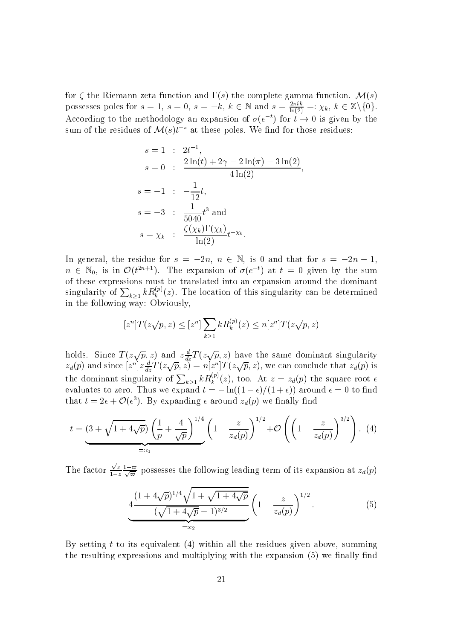for  $\zeta$  the Riemann zeta function and  $\Gamma(s)$  the complete gamma function.  $\mathcal{M}(s)$ possesses poles for  $s = 1$ ,  $s = 0$ ,  $s = -k$ ,  $k \in \mathbb{N}$  and  $s = \frac{2\pi ik}{\ln(2)} =: \chi_k, k \in \mathbb{Z}\setminus\{0\}.$ According to the methodology an expansion of  $\sigma(e^{-t})$  for  $t \to 0$  is given by the sum of the residues of  $\mathcal{M}(s)t^{-s}$  at these poles. We find for those residues:

$$
s = 1 : 2t^{-1},
$$
  
\n
$$
s = 0 : \frac{2\ln(t) + 2\gamma - 2\ln(\pi) - 3\ln(2)}{4\ln(2)}
$$
  
\n
$$
s = -1 : -\frac{1}{12}t,
$$
  
\n
$$
s = -3 : \frac{1}{5040}t^3 \text{ and}
$$
  
\n
$$
s = \chi_k : \frac{\zeta(\chi_k)\Gamma(\chi_k)}{\ln(2)}t^{-\chi_k}.
$$

In general, the residue for  $s = -2n$ ,  $n \in \mathbb{N}$ , is 0 and that for  $s = -2n - 1$ .  $n \in \mathbb{N}_0$ , is in  $\mathcal{O}(t^{2n+1})$ . The expansion of  $\sigma(e^{-t})$  at  $t=0$  given by the sum of these expressions must be translated into an expansion around the dominant singularity of  $\sum_{k>1} k R_k^{(p)}(z)$ . The location of this singularity can be determined in the following way: Obviously.

$$
[z^n]T(z\sqrt{p}, z) \leq [z^n] \sum_{k \geq 1} k R_k^{(p)}(z) \leq n[z^n]T(z\sqrt{p}, z)
$$

holds. Since  $T(z\sqrt{p}, z)$  and  $z\frac{d}{dz}T(z\sqrt{p}, z)$  have the same dominant singularity  $z_d(p)$  and since  $[z^n]z\frac{d}{dz}T(z\sqrt{p}, z) = n[z^n]T(z\sqrt{p}, z)$ , we can conclude that  $z_d(p)$  is the dominant singularity of  $\sum_{k\geq 1} k R_k^{(p)}(z)$ , too. At  $z = z_d(p)$  the square root  $\epsilon$  evaluates to zero. Thus we expand  $t = -\ln((1-\epsilon)/(1+\epsilon))$  around  $\epsilon = 0$  to find that  $t = 2\epsilon + \mathcal{O}(\epsilon^3)$ . By expanding  $\epsilon$  around  $z_d(p)$  we finally find

$$
t = \underbrace{(3 + \sqrt{1 + 4\sqrt{p}})}_{=:c_1} \left(\frac{1}{p} + \frac{4}{\sqrt{p}}\right)^{1/4} \left(1 - \frac{z}{z_d(p)}\right)^{1/2} + \mathcal{O}\left(\left(1 - \frac{z}{z_d(p)}\right)^{3/2}\right). (4)
$$

The factor  $\frac{\sqrt{z}}{1-z} \frac{1-\omega}{\sqrt{\omega}}$  possesses the following leading term of its expansion at  $z_d(p)$ 

$$
4\frac{(1+4\sqrt{p})^{1/4}\sqrt{1+\sqrt{1+4\sqrt{p}}}}{(\sqrt{1+4\sqrt{p}}-1)^{3/2}}\left(1-\frac{z}{z_d(p)}\right)^{1/2}.
$$
 (5)

By setting t to its equivalent (4) within all the residues given above, summing the resulting expressions and multiplying with the expansion (5) we finally find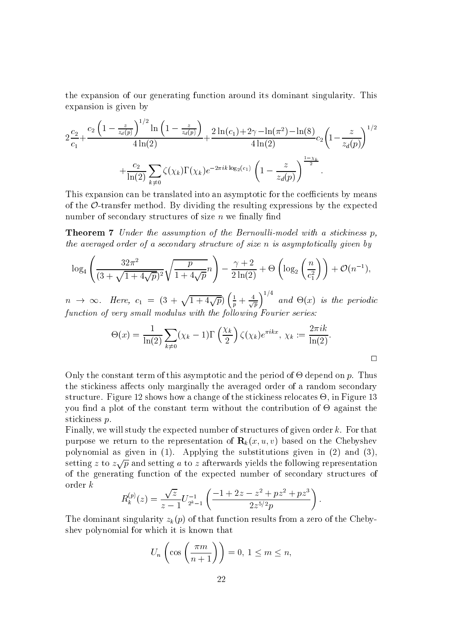the expansion of our generating function around its dominant singularity. This expansion is given by

$$
2\frac{c_2}{c_1} + \frac{c_2\left(1 - \frac{z}{z_d(p)}\right)^{1/2}\ln\left(1 - \frac{z}{z_d(p)}\right)}{4\ln(2)} + \frac{2\ln(c_1) + 2\gamma - \ln(\pi^2) - \ln(8)}{4\ln(2)}c_2\left(1 - \frac{z}{z_d(p)}\right)^{1/2} + \frac{c_2}{\ln(2)}\sum_{k \neq 0} \zeta(\chi_k)\Gamma(\chi_k)e^{-2\pi i k \log_2(c_1)}\left(1 - \frac{z}{z_d(p)}\right)^{\frac{1 - \chi_k}{2}}.
$$

This expansion can be translated into an asymptotic for the coefficients by means of the  $\mathcal{O}\text{-}$ -transfer method. By dividing the resulting expressions by the expected number of secondary structures of size  $n$  we finally find

**Theorem 7** Under the assumption of the Bernoulli-model with a stickiness p, the averaged order of a secondary structure of size n is asymptotically given by

$$
\log_4\left(\frac{32\pi^2}{(3+\sqrt{1+4\sqrt{p}})^2}\sqrt{\frac{p}{1+4\sqrt{p}}n}\right) - \frac{\gamma+2}{2\ln(2)} + \Theta\left(\log_2\left(\frac{n}{c_1^2}\right)\right) + \mathcal{O}(n^{-1})
$$

 $n \rightarrow \infty$ . Here,  $c_1 = (3 + \sqrt{1+4\sqrt{p}})\left(\frac{1}{p} + \frac{4}{\sqrt{p}}\right)^{1/4}$  and  $\Theta(x)$  is the periodic function of very small modulus with the following Fourier series:

$$
\Theta(x) = \frac{1}{\ln(2)} \sum_{k \neq 0} (\chi_k - 1) \Gamma\left(\frac{\chi_k}{2}\right) \zeta(\chi_k) e^{\pi i k x}, \ \chi_k := \frac{2\pi i k}{\ln(2)}.
$$

Only the constant term of this asymptotic and the period of  $\Theta$  depend on p. Thus the stickiness affects only marginally the averaged order of a random secondary structure. Figure 12 shows how a change of the stickiness relocates  $\Theta$ , in Figure 13 you find a plot of the constant term without the contribution of  $\Theta$  against the stickiness  $p$ .

Finally, we will study the expected number of structures of given order k. For that purpose we return to the representation of  $\mathbf{R}_k(x, u, v)$  based on the Chebyshev polynomial as given in  $(1)$ . Applying the substitutions given in  $(2)$  and  $(3)$ , setting z to  $z\sqrt{p}$  and setting a to z afterwards yields the following representation of the generating function of the expected number of secondary structures of  $\sigma$  order  $k$ 

$$
R_k^{(p)}(z) = \frac{\sqrt{z}}{z-1} U_{2^k-1}^{-1} \left( \frac{-1+2z-z^2+pz^2+pz^3}{2z^{5/2}p} \right)
$$

The dominant singularity  $z_k(p)$  of that function results from a zero of the Chebyshey polynomial for which it is known that

$$
U_n\left(\cos\left(\frac{\pi m}{n+1}\right)\right) = 0, \ 1 \le m \le n,
$$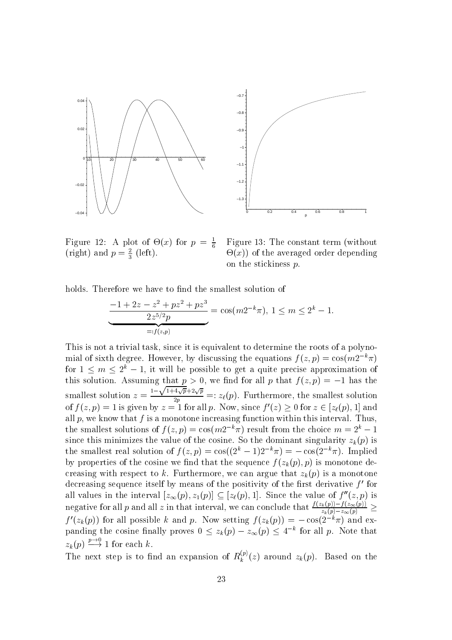

Figure 12: A plot of  $\Theta(x)$  for  $p = \frac{1}{6}$ (right) and  $p = \frac{2}{3}$  (left).

Figure 13: The constant term (without  $\Theta(x)$  of the averaged order depending on the stickiness  $p$ .

holds. Therefore we have to find the smallest solution of

$$
\underbrace{\frac{-1+2z-z^2+pz^2+pz^3}{2z^{5/2}p}}_{=:f(z,p)} = \cos(m2^{-k}\pi), \ 1 \le m \le 2^k - 1
$$

This is not a trivial task, since it is equivalent to determine the roots of a polynomial of sixth degree. However, by discussing the equations  $f(z,p) = \cos(m2^{-k}\pi)$ for  $1 \leq m \leq 2^{k} - 1$ , it will be possible to get a quite precise approximation of this solution. Assuming that  $p > 0$ , we find for all p that  $f(z, p) = -1$  has the smallest solution  $z = \frac{1-\sqrt{1+4\sqrt{p}}+2\sqrt{p}}{2p}$  =:  $z_{\ell}(p)$ . Furthermore, the smallest solution<br>of  $f(z,p) = 1$  is given by  $z = 1$  for all p. Now, since  $f'(z) \ge 0$  for  $z \in [z_{\ell}(p), 1]$  and all  $p$ , we know that  $f$  is a monotone increasing function within this interval. Thus, the smallest solutions of  $f(z,p) = \cos(m2^{-k}\pi)$  result from the choice  $m = 2^k - 1$ since this minimizes the value of the cosine. So the dominant singularity  $z_k(p)$  is the smallest real solution of  $f(z,p) = \cos((2^k-1)2^{-k}\pi) = -\cos(2^{-k}\pi)$ . Implied by properties of the cosine we find that the sequence  $f(z_k(p), p)$  is monotone decreasing with respect to k. Furthermore, we can argue that  $z_k(p)$  is a monotone decreasing sequence itself by means of the positivity of the first derivative  $f'$  for all values in the interval  $[z_{\infty}(p), z_1(p)] \subseteq [z_{\ell}(p), 1]$ . Since the value of  $f''(z, p)$  is negative for all p and all z in that interval, we can conclude that  $\frac{f(z_k(p)) - f(z_\infty(p))}{z_k(p) - z_\infty(p)} \ge$ <br> $f'(z_k(p))$  for all possible k and p. Now setting  $f(z_k(p)) = -\cos(2^{-k}\pi)$  and expanding the cosine finally proves  $0 \le z_k(p) - z_\infty(p$  $z_k(p) \stackrel{p \to 0}{\longrightarrow} 1$  for each k.

The next step is to find an expansion of  $R_k^{(p)}(z)$  around  $z_k(p)$ . Based on the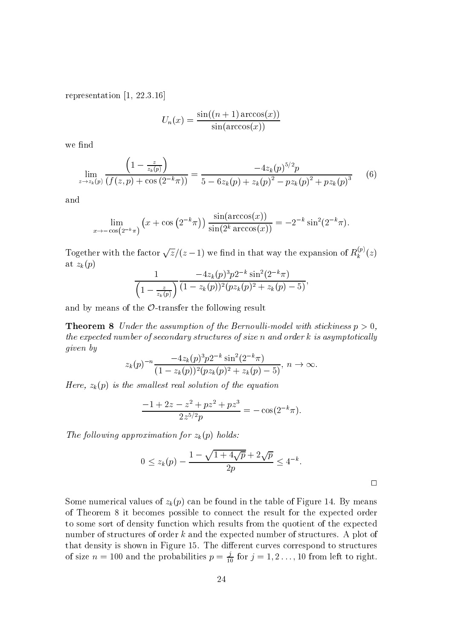representation  $[1, 22.3.16]$ 

$$
U_n(x) = \frac{\sin((n+1)\arccos(x))}{\sin(\arccos(x))}
$$

we find

$$
\lim_{z \to z_k(p)} \frac{\left(1 - \frac{z}{z_k(p)}\right)}{\left(f(z, p) + \cos\left(2^{-k}\pi\right)\right)} = \frac{-4z_k(p)^{5/2}p}{5 - 6z_k(p) + z_k(p)^2 - pz_k(p)^2 + pz_k(p)^3}
$$
(6)

and

$$
\lim_{x \to -\cos(2^{-k}\pi)} (x + \cos(2^{-k}\pi)) \frac{\sin(\arccos(x))}{\sin(2^k \arccos(x))} = -2^{-k} \sin^2(2^{-k}\pi)
$$

Together with the factor  $\sqrt{z}/(z-1)$  we find in that way the expansion of  $R_k^{(p)}(z)$ at  $z_k(p)$ 

$$
\frac{1}{\left(1-\frac{z}{z_k(p)}\right)}\frac{-4z_k(p)^3p2^{-k}\sin^2(2^{-k}\pi)}{(1-z_k(p))^2(pz_k(p)^2+z_k(p)-5)},
$$

and by means of the  $\mathcal{O}\text{-transfer}$  the following result

**Theorem 8** Under the assumption of the Bernoulli-model with stickiness  $p > 0$ . the expected number of secondary structures of size  $n$  and order  $k$  is asymptotically given by

$$
z_k(p)^{-n} \frac{-4z_k(p)^3 p2^{-k} \sin^2(2^{-k}\pi)}{(1-z_k(p))^2 (p z_k(p)^2 + z_k(p) - 5)}, n \to \infty.
$$

Here,  $z_k(p)$  is the smallest real solution of the equation

$$
\frac{-1+2z-z^2+pz^2+pz^3}{2z^{5/2}p}=-\cos(2^{-k}\pi).
$$

The following approximation for  $z_k(p)$  holds:

$$
0 \le z_k(p) - \frac{1 - \sqrt{1 + 4\sqrt{p}} + 2\sqrt{p}}{2p} \le 4^{-k}.
$$

Some numerical values of  $z_k(p)$  can be found in the table of Figure 14. By means of Theorem 8 it becomes possible to connect the result for the expected order to some sort of density function which results from the quotient of the expected number of structures of order  $k$  and the expected number of structures. A plot of that density is shown in Figure 15. The different curves correspond to structures of size  $n = 100$  and the probabilities  $p = \frac{j}{10}$  for  $j = 1, 2, ..., 10$  from left to right.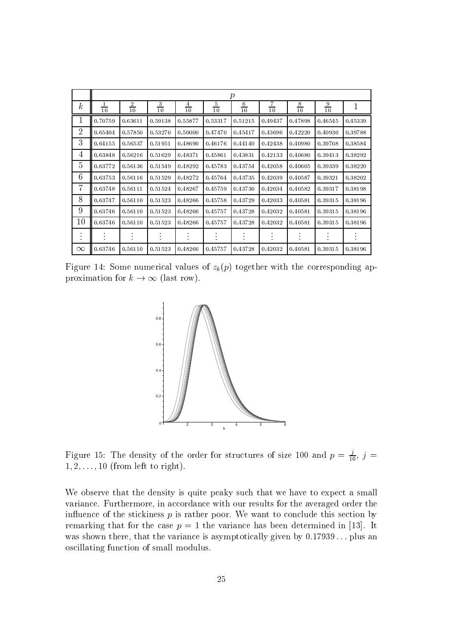|                        | р              |                |                |                |                |                |                |                |                |         |
|------------------------|----------------|----------------|----------------|----------------|----------------|----------------|----------------|----------------|----------------|---------|
| $\boldsymbol{k}$       | $\frac{1}{10}$ | $\frac{2}{10}$ | $\frac{3}{10}$ | $\frac{4}{10}$ | $\frac{5}{10}$ | $\frac{6}{10}$ | $\frac{7}{10}$ | $\frac{8}{10}$ | $\frac{9}{10}$ | 1       |
| 1                      | 0.70759        | 0.63611        | 0.59138        | 0.55877        | 0.53317        | 0.51215        | 0.49437        | 0.47898        | 0.46545        | 0.45339 |
| 2                      | 0.65404        | 0.57850        | 0.53270        | 0.50000        | 0.47470        | 0.45417        | 0.43696        | 0.42220        | 0.40930        | 0.39788 |
| 3                      | 0.64155        | 0.56537        | 0.51951        | 0.48690        | 0.46176        | 0.44140        | 0.42438        | 0.40980        | 0.39708        | 0.38584 |
| 4                      | 0.63848        | 0.56216        | 0.51629        | 0.48371        | 0.45861        | 0.43831        | 0.42133        | 0.40680        | 0.39413        | 0.38292 |
| 5                      | 0.63772        | 0.56136        | 0.51549        | 0.48292        | 0.45783        | 0.43754        | 0.42058        | 0.40605        | 0.39339        | 0.38220 |
| 6                      | 0.63753        | 0.56116        | 0.51529        | 0.48272        | 0.45764        | 0.43735        | 0.42039        | 0.40587        | 0.39321        | 0.38202 |
| 7                      | 0.63748        | 0.56111        | 0.51524        | 0.48267        | 0.45759        | 0.43730        | 0.42034        | 0.40582        | 0.39317        | 0.38198 |
| 8                      | 0.63747        | 0.56110        | 0.51523        | 0.48266        | 0.45758        | 0.43729        | 0.42033        | 0.40581        | 0.39315        | 0.38196 |
| 9                      | 0.63746        | 0.56110        | 0.51523        | 0.48266        | 0.45757        | 0.43728        | 0.42032        | 0.40581        | 0.39315        | 0.38196 |
| 10                     | 0.63746        | 0.56110        | 0.51523        | 0.48266        | 0.45757        | 0.43728        | 0.42032        | 0.40581        | 0.39315        | 0.38196 |
| $\bullet$<br>$\bullet$ | $\bullet$      |                | $\bullet$      |                |                |                |                | $\bullet$      |                | ٠       |
| $\infty$               | 0.63746        | 0.56110        | 0.51523        | 0.48266        | 0.45757        | 0.43728        | 0.42032        | 0.40581        | 0.39315        | 0.38196 |

Figure 14: Some numerical values of  $z_k(p)$  together with the corresponding approximation for  $k \to \infty$  (last row).



Figure 15: The density of the order for structures of size 100 and  $p = \frac{j}{10}$ ,  $j =$  $1, 2, \ldots, 10$  (from left to right).

We observe that the density is quite peaky such that we have to expect a small variance. Furthermore, in accordance with our results for the averaged order the influence of the stickiness  $p$  is rather poor. We want to conclude this section by remarking that for the case  $p = 1$  the variance has been determined in [13]. It was shown there, that the variance is asymptotically given by  $0.17939...$  plus an oscillating function of small modulus.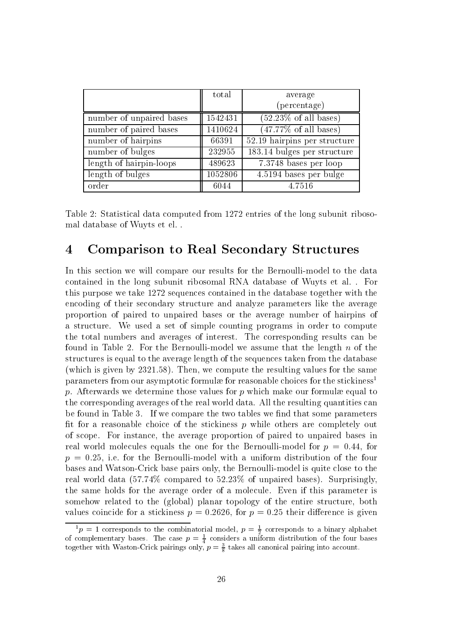|                          | total   | average                          |
|--------------------------|---------|----------------------------------|
|                          |         | (percentage)                     |
| number of unpaired bases | 1542431 | $(52.23\% \text{ of all bases})$ |
| number of paired bases   | 1410624 | $(47.77\% \text{ of all bases})$ |
| number of hairpins       | 66391   | 52.19 hairpins per structure     |
| number of bulges         | 232955  | 183.14 bulges per structure      |
| length of hairpin-loops  | 489623  | 7.3748 bases per loop            |
| length of bulges         | 1052806 | 4.5194 bases per bulge           |
| order                    | 6044    | 4.7516                           |

Table 2: Statistical data computed from 1272 entries of the long subunit ribosomal database of Wuyts et el...

#### **Comparison to Real Secondary Structures**  $\overline{\mathcal{A}}$

In this section we will compare our results for the Bernoulli-model to the data contained in the long subunit ribosomal RNA database of Wuyts et al. For this purpose we take 1272 sequences contained in the database together with the encoding of their secondary structure and analyze parameters like the average proportion of paired to unpaired bases or the average number of hairpins of a structure. We used a set of simple counting programs in order to compute the total numbers and averages of interest. The corresponding results can be found in Table 2. For the Bernoulli-model we assume that the length  $n$  of the structures is equal to the average length of the sequences taken from the database (which is given by 2321.58). Then, we compute the resulting values for the same parameters from our asymptotic formulae for reasonable choices for the stickiness<sup>1</sup> p. Afterwards we determine those values for p which make our formulae equal to the corresponding averages of the real world data. All the resulting quantities can be found in Table 3. If we compare the two tables we find that some parameters fit for a reasonable choice of the stickiness  $p$  while others are completely out of scope. For instance, the average proportion of paired to unpaired bases in real world molecules equals the one for the Bernoulli-model for  $p = 0.44$ , for  $p = 0.25$ , i.e. for the Bernoulli-model with a uniform distribution of the four bases and Watson-Crick base pairs only, the Bernoulli-model is quite close to the real world data  $(57.74\%$  compared to  $52.23\%$  of unpaired bases). Surprisingly, the same holds for the average order of a molecule. Even if this parameter is somehow related to the (global) planar topology of the entire structure, both values coincide for a stickiness  $p = 0.2626$ , for  $p = 0.25$  their difference is given

 ${}^{1}p = 1$  corresponds to the combinatorial model,  $p = \frac{1}{2}$  corresponds to a binary alphabet<br>of complementary bases. The case  $p = \frac{1}{4}$  considers a uniform distribution of the four bases<br>together with Waston-Crick pa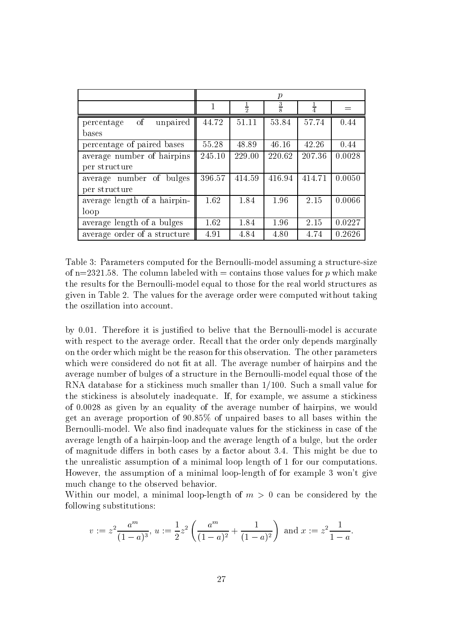|                                         | $\mathcal{p}$ |               |               |        |        |  |  |  |
|-----------------------------------------|---------------|---------------|---------------|--------|--------|--|--|--|
|                                         | 1             | $\frac{1}{2}$ | $\frac{3}{8}$ |        |        |  |  |  |
| <sub>of</sub><br>unpaired<br>percentage | 44.72         | 51.11         | 53.84         | 57.74  | 0.44   |  |  |  |
| bases                                   |               |               |               |        |        |  |  |  |
| percentage of paired bases              | 55.28         | 48.89         | 46.16         | 42.26  | 0.44   |  |  |  |
| average number of hairpins              | 245.10        | 229.00        | 220.62        | 207.36 | 0.0028 |  |  |  |
| per structure                           |               |               |               |        |        |  |  |  |
| average number of bulges                | 396.57        | 414.59        | 416.94        | 414.71 | 0.0050 |  |  |  |
| per structure                           |               |               |               |        |        |  |  |  |
| average length of a hairpin-            | 1.62          | 1.84          | 1.96          | 2.15   | 0.0066 |  |  |  |
| loop                                    |               |               |               |        |        |  |  |  |
| average length of a bulges              | 1.62          | 1.84          | 1.96          | 2.15   | 0.0227 |  |  |  |
| average order of a structure            | 4.91          | 4.84          | 4.80          | 4.74   | 0.2626 |  |  |  |

Table 3: Parameters computed for the Bernoulli-model assuming a structure-size of n=2321.58. The column labeled with = contains those values for p which make the results for the Bernoulli-model equal to those for the real world structures as given in Table 2. The values for the average order were computed without taking the oszillation into account.

by 0.01. Therefore it is justified to belive that the Bernoulli-model is accurate with respect to the average order. Recall that the order only depends marginally on the order which might be the reason for this observation. The other parameters which were considered do not fit at all. The average number of hairpins and the average number of bulges of a structure in the Bernoulli-model equal those of the RNA database for a stickiness much smaller than  $1/100$ . Such a small value for the stickiness is absolutely inadequate. If, for example, we assume a stickiness of 0.0028 as given by an equality of the average number of hairpins, we would get an average proportion of 90.85% of unpaired bases to all bases within the Bernoulli-model. We also find inadequate values for the stickiness in case of the average length of a hairpin-loop and the average length of a bulge, but the order of magnitude differs in both cases by a factor about 3.4. This might be due to the unrealistic assumption of a minimal loop length of 1 for our computations. However, the assumption of a minimal loop-length of for example 3 won't give much change to the observed behavior.

Within our model, a minimal loop-length of  $m > 0$  can be considered by the following substitutions:

$$
v := z^2 \frac{a^m}{(1-a)^3}
$$
,  $u := \frac{1}{2} z^2 \left( \frac{a^m}{(1-a)^2} + \frac{1}{(1-a)^2} \right)$  and  $x := z^2 \frac{1}{1-a}$ .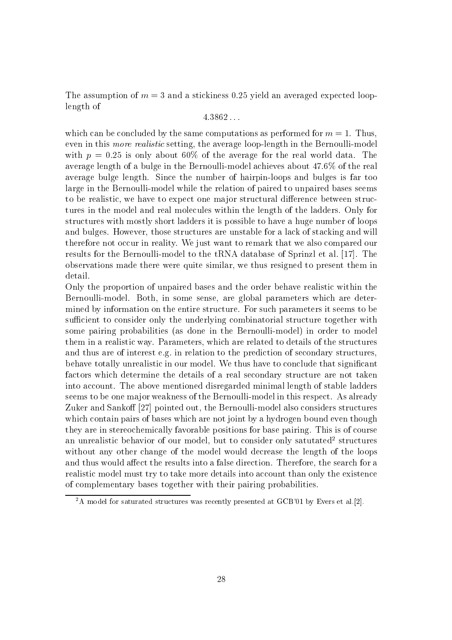The assumption of  $m=3$  and a stickiness 0.25 yield an averaged expected looplength of

## $4.3862...$

which can be concluded by the same computations as performed for  $m = 1$ . Thus, even in this *more realistic* setting, the average loop-length in the Bernoulli-model with  $p = 0.25$  is only about 60% of the average for the real world data. The average length of a bulge in the Bernoulli-model achieves about 47.6% of the real average bulge length. Since the number of hairpin-loops and bulges is far too large in the Bernoulli-model while the relation of paired to unpaired bases seems to be realistic, we have to expect one major structural difference between structures in the model and real molecules within the length of the ladders. Only for structures with mostly short ladders it is possible to have a huge number of loops and bulges. However, those structures are unstable for a lack of stacking and will therefore not occur in reality. We just want to remark that we also compared our results for the Bernoulli-model to the tRNA database of Sprinzl et al. [17]. The observations made there were quite similar, we thus resigned to present them in detail.

Only the proportion of unpaired bases and the order behave realistic within the Bernoulli-model. Both, in some sense, are global parameters which are determined by information on the entire structure. For such parameters it seems to be sufficient to consider only the underlying combinatorial structure together with some pairing probabilities (as done in the Bernoulli-model) in order to model them in a realistic way. Parameters, which are related to details of the structures and thus are of interest e.g. in relation to the prediction of secondary structures, behave totally unrealistic in our model. We thus have to conclude that significant factors which determine the details of a real secondary structure are not taken into account. The above mentioned disregarded minimal length of stable ladders seems to be one major weakness of the Bernoulli-model in this respect. As already Zuker and Sankoff [27] pointed out, the Bernoulli-model also considers structures which contain pairs of bases which are not joint by a hydrogen bound even though they are in stereochemically favorable positions for base pairing. This is of course an unrealistic behavior of our model, but to consider only saturated<sup>2</sup> structures without any other change of the model would decrease the length of the loops and thus would affect the results into a false direction. Therefore, the search for a realistic model must try to take more details into account than only the existence of complementary bases together with their pairing probabilities.

 $2A$  model for saturated structures was recently presented at GCB'01 by Evers et al.[2].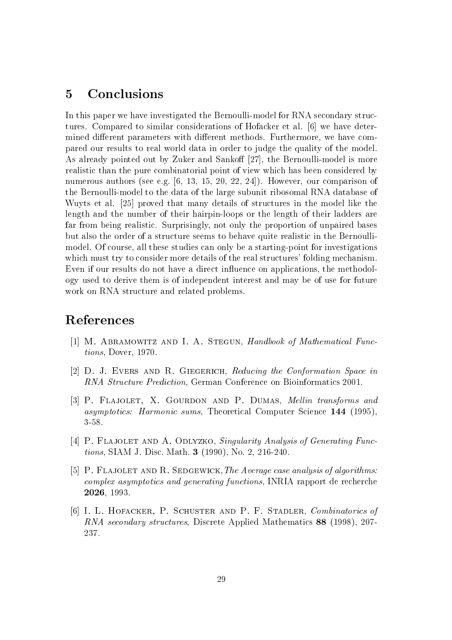#### Conclusions  $\overline{5}$

In this paper we have investigated the Bernoulli-model for RNA secondary structures. Compared to similar considerations of Hofacker et al. [6] we have determined different parameters with different methods. Furthermore, we have compared our results to real world data in order to judge the quality of the model. As already pointed out by Zuker and Sankoff [27], the Bernoulli-model is more realistic than the pure combinatorial point of view which has been considered by numerous authors (see e.g.  $[6, 13, 15, 20, 22, 24]$ ). However, our comparison of the Bernoulli-model to the data of the large subunit ribosomal RNA database of Wuyts et al. [25] proved that many details of structures in the model like the length and the number of their hairpin-loops or the length of their ladders are far from being realistic. Surprisingly, not only the proportion of unpaired bases but also the order of a structure seems to behave quite realistic in the Bernoullimodel. Of course, all these studies can only be a starting-point for investigations which must try to consider more details of the real structures' folding mechanism. Even if our results do not have a direct influence on applications, the methodology used to derive them is of independent interest and may be of use for future work on RNA structure and related problems.

## References

- [1] M. ABRAMOWITZ AND I. A. STEGUN, Handbook of Mathematical Functions, Dover, 1970.
- [2] D. J. EVERS AND R. GIEGERICH, Reducing the Conformation Space in RNA Structure Prediction, German Conference on Bioinformatics 2001.
- [3] P. FLAJOLET, X. GOURDON AND P. DUMAS, *Mellin transforms and asymptotics: Harmonic sums, Theoretical Computer Science 144 (1995),*  $3 - 58$ .
- [4] P. FLAJOLET AND A. ODLYZKO, Singularity Analysis of Generating Functions, SIAM J. Disc. Math. 3 (1990), No. 2, 216-240.
- [5] P. FLAJOLET AND R. SEDGEWICK, The Average case analysis of algorithms: complex asymptotics and generating functions, INRIA rapport de recherche 2026, 1993.
- [6] I. L. HOFACKER, P. SCHUSTER AND P. F. STADLER, Combinatorics of RNA secondary structures, Discrete Applied Mathematics 88 (1998), 207-237.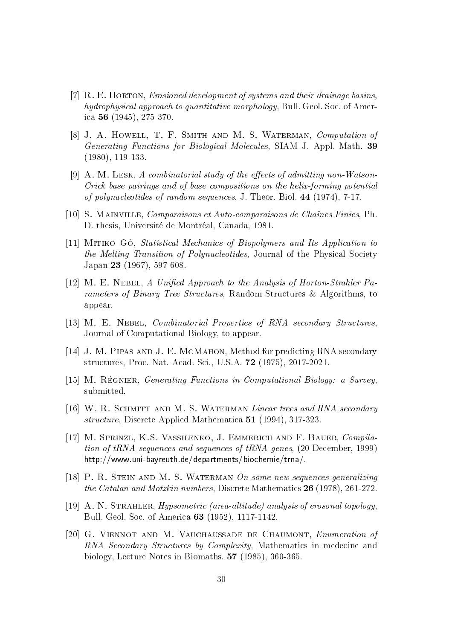- [7]  $R. E.$  HORTON, Exposition Howevelopment of systems and their drainage basins, hydrophysical approach to quantitative morphology, Bull. Geol. Soc. of America 56 (1945), 275-370.
- [8] J. A. HOWELL, T. F. SMITH AND M. S. WATERMAN, Computation of *Generating Functions for Biological Molecules, SIAM J. Appl. Math.* 39  $(1980), 119-133.$
- [9] A. M. LESK, A combinatorial study of the effects of admitting non-Watson-Crick base pairings and of base compositions on the helix-forming potential of polynucleotides of random sequences, J. Theor. Biol. 44 (1974), 7-17.
- [10] S. MAINVILLE, *Comparaisons et Auto-comparaisons de Chaînes Finies*, Ph. D. thesis, Université de Montréal, Canada, 1981.
- [11] MITIKO GO, Statistical Mechanics of Biopolymers and Its Application to the Melting Transition of Polynucleotides, Journal of the Physical Society Japan 23 (1967), 597-608.
- [12] M. E. NEBEL, A Unified Approach to the Analysis of Horton-Strahler Parameters of Binary Tree Structures, Random Structures & Algorithms, to appear.
- [13] M. E. NEBEL, *Combinatorial Properties of RNA secondary Structures*, Journal of Computational Biology, to appear.
- [14] J. M. PIPAS AND J. E. MCMAHON, Method for predicting RNA secondary structures, Proc. Nat. Acad. Sci., U.S.A. 72 (1975), 2017-2021.
- [15] M. RÉGNIER, Generating Functions in Computational Biology: a Survey, submitted.
- [16] W. R. SCHMITT AND M. S. WATERMAN Linear trees and RNA secondary *structure*, Discrete Applied Mathematica 51 (1994), 317-323.
- [17] M. SPRINZL, K.S. VASSILENKO, J. EMMERICH AND F. BAUER, Compila*tion of tRNA sequences and sequences of tRNA genes, (20 December, 1999)* http://www.uni-bayreuth.de/departments/biochemie/trna/.
- [18] P. R. STEIN AND M. S. WATERMAN On some new sequences generalizing *the Catalan and Motzkin numbers*, Discrete Mathematics 26 (1978), 261-272.
- [19] A. N. STRAHLER, *Hypsometric (area-altitude)* analysis of erosonal topology, Bull. Geol. Soc. of America 63 (1952), 1117-1142.
- [20] G. VIENNOT AND M. VAUCHAUSSADE DE CHAUMONT, Enumeration of RNA Secondary Structures by Complexity. Mathematics in medecine and biology, Lecture Notes in Biomaths. 57 (1985), 360-365.